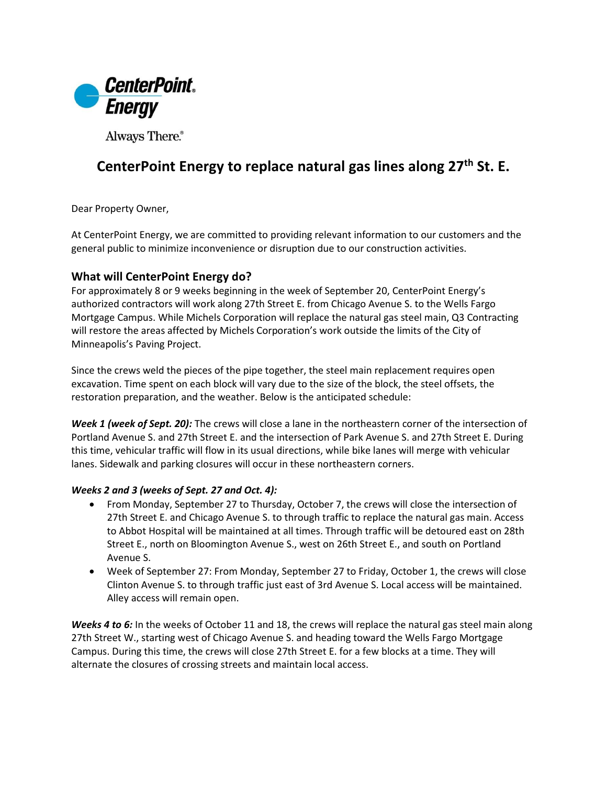

Always There.®

## **CenterPoint Energy to replace natural gas lines along 27th St. E.**

Dear Property Owner,

At CenterPoint Energy, we are committed to providing relevant information to our customers and the general public to minimize inconvenience or disruption due to our construction activities.

## **What will CenterPoint Energy do?**

For approximately 8 or 9 weeks beginning in the week of September 20, CenterPoint Energy's authorized contractors will work along 27th Street E. from Chicago Avenue S. to the Wells Fargo Mortgage Campus. While Michels Corporation will replace the natural gas steel main, Q3 Contracting will restore the areas affected by Michels Corporation's work outside the limits of the City of Minneapolis's Paving Project.

Since the crews weld the pieces of the pipe together, the steel main replacement requires open excavation. Time spent on each block will vary due to the size of the block, the steel offsets, the restoration preparation, and the weather. Below is the anticipated schedule:

*Week 1 (week of Sept. 20):* The crews will close a lane in the northeastern corner of the intersection of Portland Avenue S. and 27th Street E. and the intersection of Park Avenue S. and 27th Street E. During this time, vehicular traffic will flow in its usual directions, while bike lanes will merge with vehicular lanes. Sidewalk and parking closures will occur in these northeastern corners.

## *Weeks 2 and 3 (weeks of Sept. 27 and Oct. 4):*

- From Monday, September 27 to Thursday, October 7, the crews will close the intersection of 27th Street E. and Chicago Avenue S. to through traffic to replace the natural gas main. Access to Abbot Hospital will be maintained at all times. Through traffic will be detoured east on 28th Street E., north on Bloomington Avenue S., west on 26th Street E., and south on Portland Avenue S.
- Week of September 27: From Monday, September 27 to Friday, October 1, the crews will close Clinton Avenue S. to through traffic just east of 3rd Avenue S. Local access will be maintained. Alley access will remain open.

*Weeks 4 to 6:* In the weeks of October 11 and 18, the crews will replace the natural gas steel main along 27th Street W., starting west of Chicago Avenue S. and heading toward the Wells Fargo Mortgage Campus. During this time, the crews will close 27th Street E. for a few blocks at a time. They will alternate the closures of crossing streets and maintain local access.